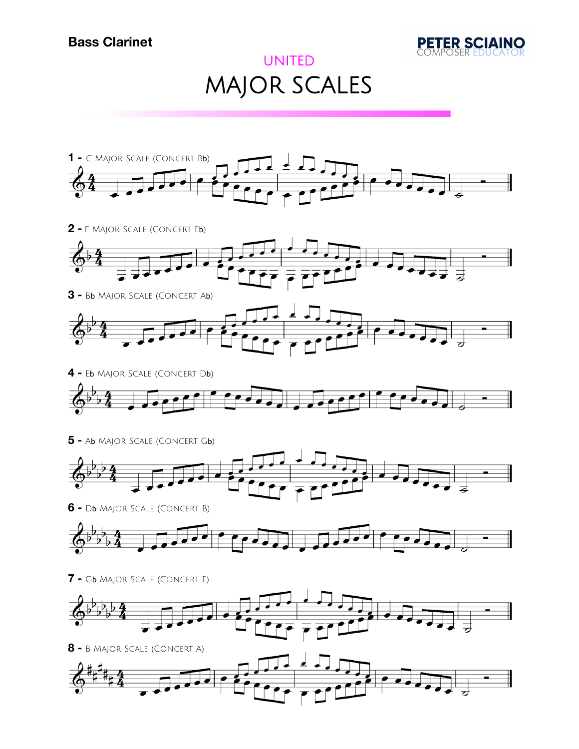

## UNITED MAJOR SCALES



**-** F Major Scale (Concert Eb)



**-** B<sup>b</sup> Major Scale (Concert Ab)



- **-** E<sup>b</sup> Major Scale (Concert Db)  $\overline{\phantom{a}}$  $\overline{\phantom{0}}$
- **-** A<sup>b</sup> Major Scale (Concert Gb)



**-** D<sup>b</sup> Major Scale (Concert B)



**-** G<sup>b</sup> Major Scale (Concert E)